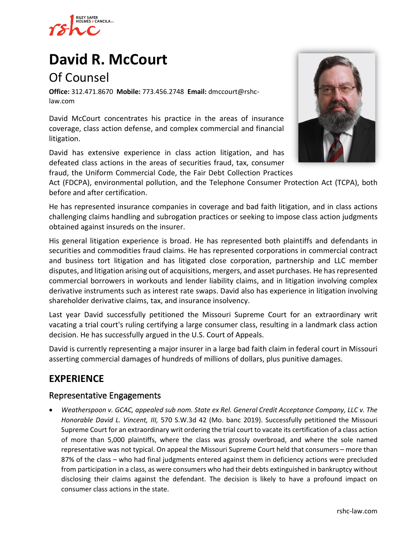

# **[David R. McCourt](https://www.rshc-law.com/attorneys/attorney/david-r.-mccourt)**

# Of Counsel

**Office:** 312.471.8670 **Mobile:** 773.456.2748 **Email:** dmccourt@rshclaw.com

David McCourt concentrates his practice in the areas of insurance coverage, class action defense, and complex commercial and financial litigation.

David has extensive experience in class action litigation, and has defeated class actions in the areas of securities fraud, tax, consumer

fraud, the Uniform Commercial Code, the Fair Debt Collection Practic[es](https://www.rshc-law.com/attorneys/attorney/david-r.-mccourt) 



Act (FDCPA), environmental pollution, and the Telephone Consumer Protection Act (TCPA), both before and after certification.

He has represented insurance companies in coverage and bad faith litigation, and in class actions challenging claims handling and subrogation practices or seeking to impose class action judgments obtained against insureds on the insurer.

His general litigation experience is broad. He has represented both plaintiffs and defendants in securities and commodities fraud claims. He has represented corporations in commercial contract and business tort litigation and has litigated close corporation, partnership and LLC member disputes, and litigation arising out of acquisitions, mergers, and asset purchases. He has represented commercial borrowers in workouts and lender liability claims, and in litigation involving complex derivative instruments such as interest rate swaps. David also has experience in litigation involving shareholder derivative claims, tax, and insurance insolvency.

Last year David successfully petitioned the Missouri Supreme Court for an extraordinary writ vacating a trial court's ruling certifying a large consumer class, resulting in a landmark class action decision. He has successfully argued in the U.S. Court of Appeals.

David is currently representing a major insurer in a large bad faith claim in federal court in Missouri asserting commercial damages of hundreds of millions of dollars, plus punitive damages.

### **EXPERIENCE**

#### Representative Engagements

• *Weatherspoon v. GCAC, appealed sub nom. State ex Rel. General Credit Acceptance Company, LLC v. The Honorable David L. Vincent, III,* 570 S.W.3d 42 (Mo. banc 2019). Successfully petitioned the Missouri Supreme Court for an extraordinary writ ordering the trial court to vacate its certification of a class action of more than 5,000 plaintiffs, where the class was grossly overbroad, and where the sole named representative was not typical. On appeal the Missouri Supreme Court held that consumers – more than 87% of the class – who had final judgments entered against them in deficiency actions were precluded from participation in a class, as were consumers who had their debts extinguished in bankruptcy without disclosing their claims against the defendant. The decision is likely to have a profound impact on consumer class actions in the state.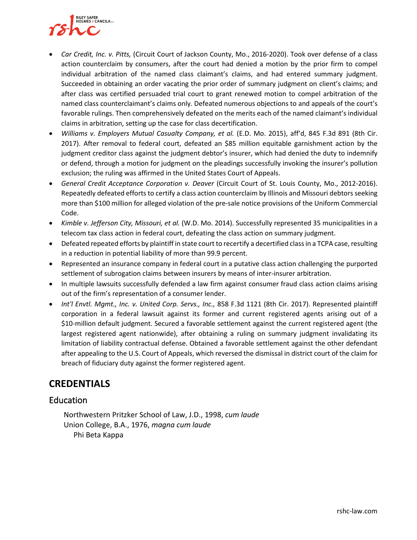

- *Car Credit, Inc. v. Pitts,* (Circuit Court of Jackson County, Mo., 2016-2020). Took over defense of a class action counterclaim by consumers, after the court had denied a motion by the prior firm to compel individual arbitration of the named class claimant's claims, and had entered summary judgment. Succeeded in obtaining an order vacating the prior order of summary judgment on client's claims; and after class was certified persuaded trial court to grant renewed motion to compel arbitration of the named class counterclaimant's claims only. Defeated numerous objections to and appeals of the court's favorable rulings. Then comprehensively defeated on the merits each of the named claimant's individual claims in arbitration, setting up the case for class decertification.
- *Williams v. Employers Mutual Casualty Company, et al.* (E.D. Mo. 2015), aff'd, 845 F.3d 891 (8th Cir. 2017). After removal to federal court, defeated an \$85 million equitable garnishment action by the judgment creditor class against the judgment debtor's insurer, which had denied the duty to indemnify or defend, through a motion for judgment on the pleadings successfully invoking the insurer's pollution exclusion; the ruling was affirmed in the United States Court of Appeals.
- *General Credit Acceptance Corporation v. Deaver* (Circuit Court of St. Louis County, Mo., 2012-2016). Repeatedly defeated efforts to certify a class action counterclaim by Illinois and Missouri debtors seeking more than \$100 million for alleged violation of the pre-sale notice provisions of the Uniform Commercial Code.
- *Kimble v. Jefferson City, Missouri, et al.* (W.D. Mo. 2014). Successfully represented 35 municipalities in a telecom tax class action in federal court, defeating the class action on summary judgment.
- Defeated repeated efforts by plaintiff in state court to recertify a decertified class in a TCPA case, resulting in a reduction in potential liability of more than 99.9 percent.
- Represented an insurance company in federal court in a putative class action challenging the purported settlement of subrogation claims between insurers by means of inter-insurer arbitration.
- In multiple lawsuits successfully defended a law firm against consumer fraud class action claims arising out of the firm's representation of a consumer lender.
- *Int'l Envtl. Mgmt., Inc. v. United Corp. Servs., Inc.,* 858 F.3d 1121 (8th Cir. 2017). Represented plaintiff corporation in a federal lawsuit against its former and current registered agents arising out of a \$10-million default judgment. Secured a favorable settlement against the current registered agent (the largest registered agent nationwide), after obtaining a ruling on summary judgment invalidating its limitation of liability contractual defense. Obtained a favorable settlement against the other defendant after appealing to the U.S. Court of Appeals, which reversed the dismissal in district court of the claim for breach of fiduciary duty against the former registered agent.

#### **CREDENTIALS**

#### Education

Northwestern Pritzker School of Law, J.D., 1998, *cum laude* Union College, B.A., 1976, *magna cum laude* Phi Beta Kappa